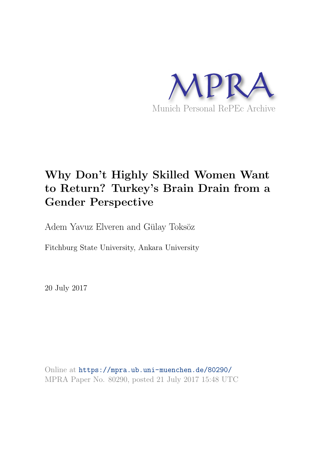

# Why Don't Highly Skilled Women Want to Return? Turkey's Brain Drain from a Gender Perspective

Adem Yavuz Elveren and Gülay Toksöz

Fitchburg State University, Ankara University

20 July 2017

Online at <https://mpra.ub.uni-muenchen.de/80290/> MPRA Paper No. 80290, posted 21 July 2017 15:48 UTC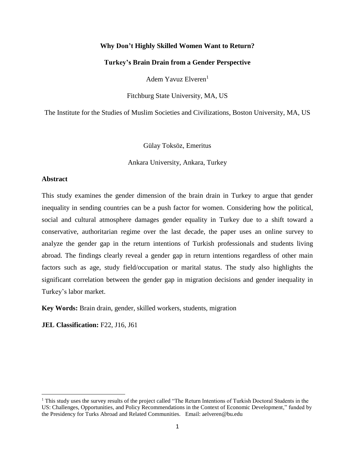# **Why Don't Highly Skilled Women Want to Return?**

### **Turkey's Brain Drain from a Gender Perspective**

Adem Yavuz Elveren<sup>1</sup>

Fitchburg State University, MA, US

The Institute for the Studies of Muslim Societies and Civilizations, Boston University, MA, US

Gülay Toksöz, Emeritus

Ankara University, Ankara, Turkey

# **Abstract**

 $\overline{\phantom{a}}$ 

This study examines the gender dimension of the brain drain in Turkey to argue that gender inequality in sending countries can be a push factor for women. Considering how the political, social and cultural atmosphere damages gender equality in Turkey due to a shift toward a conservative, authoritarian regime over the last decade, the paper uses an online survey to analyze the gender gap in the return intentions of Turkish professionals and students living abroad. The findings clearly reveal a gender gap in return intentions regardless of other main factors such as age, study field/occupation or marital status. The study also highlights the significant correlation between the gender gap in migration decisions and gender inequality in Turkey's labor market.

**Key Words:** Brain drain, gender, skilled workers, students, migration

**JEL Classification:** F22, J16, J61

<sup>1</sup> This study uses the survey results of the project called "The Return Intentions of Turkish Doctoral Students in the US: Challenges, Opportunities, and Policy Recommendations in the Context of Economic Development," funded by the Presidency for Turks Abroad and Related Communities. Email: aelveren@bu.edu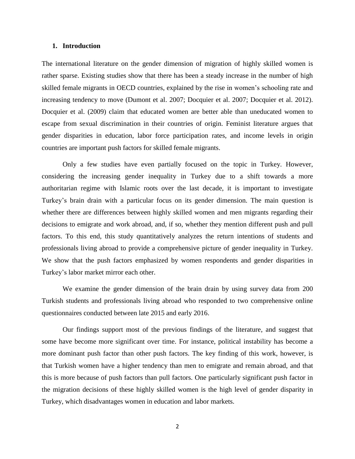#### **1. Introduction**

The international literature on the gender dimension of migration of highly skilled women is rather sparse. Existing studies show that there has been a steady increase in the number of high skilled female migrants in OECD countries, explained by the rise in women's schooling rate and increasing tendency to move (Dumont et al. 2007; Docquier et al. 2007; Docquier et al. 2012). Docquier et al. (2009) claim that educated women are better able than uneducated women to escape from sexual discrimination in their countries of origin. Feminist literature argues that gender disparities in education, labor force participation rates, and income levels in origin countries are important push factors for skilled female migrants.

Only a few studies have even partially focused on the topic in Turkey. However, considering the increasing gender inequality in Turkey due to a shift towards a more authoritarian regime with Islamic roots over the last decade, it is important to investigate Turkey's brain drain with a particular focus on its gender dimension. The main question is whether there are differences between highly skilled women and men migrants regarding their decisions to emigrate and work abroad, and, if so, whether they mention different push and pull factors. To this end, this study quantitatively analyzes the return intentions of students and professionals living abroad to provide a comprehensive picture of gender inequality in Turkey. We show that the push factors emphasized by women respondents and gender disparities in Turkey's labor market mirror each other.

We examine the gender dimension of the brain drain by using survey data from 200 Turkish students and professionals living abroad who responded to two comprehensive online questionnaires conducted between late 2015 and early 2016.

Our findings support most of the previous findings of the literature, and suggest that some have become more significant over time. For instance, political instability has become a more dominant push factor than other push factors. The key finding of this work, however, is that Turkish women have a higher tendency than men to emigrate and remain abroad, and that this is more because of push factors than pull factors. One particularly significant push factor in the migration decisions of these highly skilled women is the high level of gender disparity in Turkey, which disadvantages women in education and labor markets.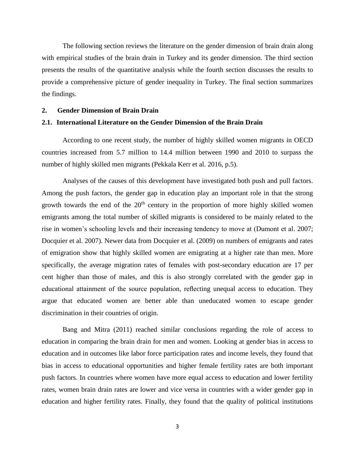The following section reviews the literature on the gender dimension of brain drain along with empirical studies of the brain drain in Turkey and its gender dimension. The third section presents the results of the quantitative analysis while the fourth section discusses the results to provide a comprehensive picture of gender inequality in Turkey. The final section summarizes the findings.

### **2. Gender Dimension of Brain Drain**

# **2.1. International Literature on the Gender Dimension of the Brain Drain**

According to one recent study, the number of highly skilled women migrants in OECD countries increased from 5.7 million to 14.4 million between 1990 and 2010 to surpass the number of highly skilled men migrants (Pekkala Kerr et al. 2016, p.5).

Analyses of the causes of this development have investigated both push and pull factors. Among the push factors, the gender gap in education play an important role in that the strong growth towards the end of the  $20<sup>th</sup>$  century in the proportion of more highly skilled women emigrants among the total number of skilled migrants is considered to be mainly related to the rise in women's schooling levels and their increasing tendency to move at (Dumont et al. 2007; Docquier et al. 2007). Newer data from Docquier et al. (2009) on numbers of emigrants and rates of emigration show that highly skilled women are emigrating at a higher rate than men. More specifically, the average migration rates of females with post-secondary education are 17 per cent higher than those of males, and this is also strongly correlated with the gender gap in educational attainment of the source population, reflecting unequal access to education. They argue that educated women are better able than uneducated women to escape gender discrimination in their countries of origin.

Bang and Mitra (2011) reached similar conclusions regarding the role of access to education in comparing the brain drain for men and women. Looking at gender bias in access to education and in outcomes like labor force participation rates and income levels, they found that bias in access to educational opportunities and higher female fertility rates are both important push factors. In countries where women have more equal access to education and lower fertility rates, women brain drain rates are lower and vice versa in countries with a wider gender gap in education and higher fertility rates. Finally, they found that the quality of political institutions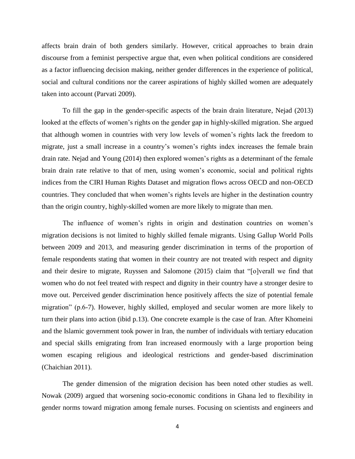affects brain drain of both genders similarly. However, critical approaches to brain drain discourse from a feminist perspective argue that, even when political conditions are considered as a factor influencing decision making, neither gender differences in the experience of political, social and cultural conditions nor the career aspirations of highly skilled women are adequately taken into account (Parvati 2009).

To fill the gap in the gender-specific aspects of the brain drain literature, Nejad (2013) looked at the effects of women's rights on the gender gap in highly-skilled migration. She argued that although women in countries with very low levels of women's rights lack the freedom to migrate, just a small increase in a country's women's rights index increases the female brain drain rate. Nejad and Young (2014) then explored women's rights as a determinant of the female brain drain rate relative to that of men, using women's economic, social and political rights indices from the CIRI Human Rights Dataset and migration flows across OECD and non-OECD countries. They concluded that when women's rights levels are higher in the destination country than the origin country, highly-skilled women are more likely to migrate than men.

The influence of women's rights in origin and destination countries on women's migration decisions is not limited to highly skilled female migrants. Using Gallup World Polls between 2009 and 2013, and measuring gender discrimination in terms of the proportion of female respondents stating that women in their country are not treated with respect and dignity and their desire to migrate, Ruyssen and Salomone (2015) claim that "[o]verall we find that women who do not feel treated with respect and dignity in their country have a stronger desire to move out. Perceived gender discrimination hence positively affects the size of potential female migration" (p.6-7). However, highly skilled, employed and secular women are more likely to turn their plans into action (ibid p.13). One concrete example is the case of Iran. After Khomeini and the Islamic government took power in Iran, the number of individuals with tertiary education and special skills emigrating from Iran increased enormously with a large proportion being women escaping religious and ideological restrictions and gender-based discrimination (Chaichian 2011).

The gender dimension of the migration decision has been noted other studies as well. Nowak (2009) argued that worsening socio-economic conditions in Ghana led to flexibility in gender norms toward migration among female nurses. Focusing on scientists and engineers and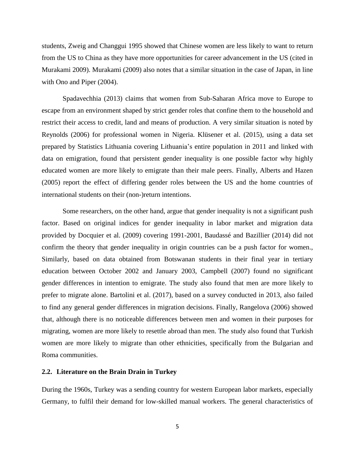students, Zweig and Changgui 1995 showed that Chinese women are less likely to want to return from the US to China as they have more opportunities for career advancement in the US (cited in Murakami 2009). Murakami (2009) also notes that a similar situation in the case of Japan, in line with Ono and Piper (2004).

Spadavechhia (2013) claims that women from Sub-Saharan Africa move to Europe to escape from an environment shaped by strict gender roles that confine them to the household and restrict their access to credit, land and means of production. A very similar situation is noted by Reynolds (2006) for professional women in Nigeria. Klüsener et al. (2015), using a data set prepared by Statistics Lithuania covering Lithuania's entire population in 2011 and linked with data on emigration, found that persistent gender inequality is one possible factor why highly educated women are more likely to emigrate than their male peers. Finally, Alberts and Hazen (2005) report the effect of differing gender roles between the US and the home countries of international students on their (non-)return intentions.

Some researchers, on the other hand, argue that gender inequality is not a significant push factor. Based on original indices for gender inequality in labor market and migration data provided by Docquier et al. (2009) covering 1991-2001, Baudassé and Bazillier (2014) did not confirm the theory that gender inequality in origin countries can be a push factor for women., Similarly, based on data obtained from Botswanan students in their final year in tertiary education between October 2002 and January 2003, Campbell (2007) found no significant gender differences in intention to emigrate. The study also found that men are more likely to prefer to migrate alone. Bartolini et al. (2017), based on a survey conducted in 2013, also failed to find any general gender differences in migration decisions. Finally, Rangelova (2006) showed that, although there is no noticeable differences between men and women in their purposes for migrating, women are more likely to resettle abroad than men. The study also found that Turkish women are more likely to migrate than other ethnicities, specifically from the Bulgarian and Roma communities.

### **2.2. Literature on the Brain Drain in Turkey**

During the 1960s, Turkey was a sending country for western European labor markets, especially Germany, to fulfil their demand for low-skilled manual workers. The general characteristics of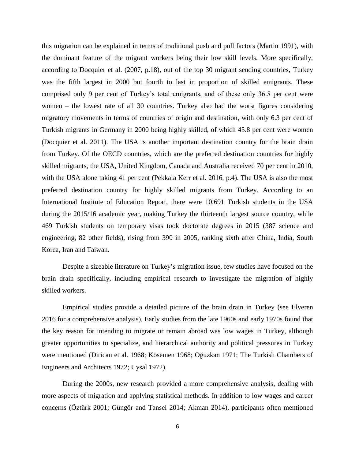this migration can be explained in terms of traditional push and pull factors (Martin 1991), with the dominant feature of the migrant workers being their low skill levels. More specifically, according to Docquier et al. (2007, p.18), out of the top 30 migrant sending countries, Turkey was the fifth largest in 2000 but fourth to last in proportion of skilled emigrants. These comprised only 9 per cent of Turkey's total emigrants, and of these only 36.5 per cent were women – the lowest rate of all 30 countries. Turkey also had the worst figures considering migratory movements in terms of countries of origin and destination, with only 6.3 per cent of Turkish migrants in Germany in 2000 being highly skilled, of which 45.8 per cent were women (Docquier et al. 2011). The USA is another important destination country for the brain drain from Turkey. Of the OECD countries, which are the preferred destination countries for highly skilled migrants, the USA, United Kingdom, Canada and Australia received 70 per cent in 2010, with the USA alone taking 41 per cent (Pekkala Kerr et al. 2016, p.4). The USA is also the most preferred destination country for highly skilled migrants from Turkey. According to an International Institute of Education Report, there were 10,691 Turkish students in the USA during the 2015/16 academic year, making Turkey the thirteenth largest source country, while 469 Turkish students on temporary visas took doctorate degrees in 2015 (387 science and engineering, 82 other fields), rising from 390 in 2005, ranking sixth after China, India, South Korea, Iran and Taiwan.

Despite a sizeable literature on Turkey's migration issue, few studies have focused on the brain drain specifically, including empirical research to investigate the migration of highly skilled workers.

Empirical studies provide a detailed picture of the brain drain in Turkey (see Elveren 2016 for a comprehensive analysis). Early studies from the late 1960s and early 1970s found that the key reason for intending to migrate or remain abroad was low wages in Turkey, although greater opportunities to specialize, and hierarchical authority and political pressures in Turkey were mentioned (Dirican et al. 1968; Kösemen 1968; Oğuzkan 1971; The Turkish Chambers of Engineers and Architects 1972; Uysal 1972).

During the 2000s, new research provided a more comprehensive analysis, dealing with more aspects of migration and applying statistical methods. In addition to low wages and career concerns (Öztürk 2001; Güngör and Tansel 2014; Akman 2014), participants often mentioned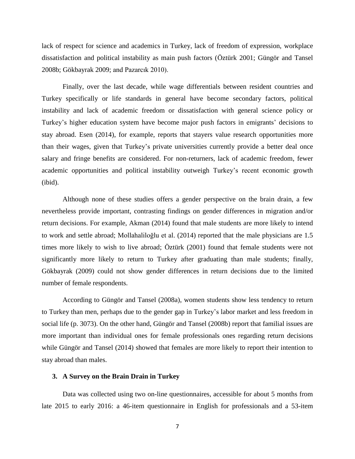lack of respect for science and academics in Turkey, lack of freedom of expression, workplace dissatisfaction and political instability as main push factors (Öztürk 2001; Güngör and Tansel 2008b; Gökbayrak 2009; and Pazarcık 2010).

Finally, over the last decade, while wage differentials between resident countries and Turkey specifically or life standards in general have become secondary factors, political instability and lack of academic freedom or dissatisfaction with general science policy or Turkey's higher education system have become major push factors in emigrants' decisions to stay abroad. Esen (2014), for example, reports that stayers value research opportunities more than their wages, given that Turkey's private universities currently provide a better deal once salary and fringe benefits are considered. For non-returners, lack of academic freedom, fewer academic opportunities and political instability outweigh Turkey's recent economic growth (ibid).

Although none of these studies offers a gender perspective on the brain drain, a few nevertheless provide important, contrasting findings on gender differences in migration and/or return decisions. For example, Akman (2014) found that male students are more likely to intend to work and settle abroad; Mollahaliloğlu et al. (2014) reported that the male physicians are 1.5 times more likely to wish to live abroad; Öztürk (2001) found that female students were not significantly more likely to return to Turkey after graduating than male students; finally, Gökbayrak (2009) could not show gender differences in return decisions due to the limited number of female respondents.

According to Güngör and Tansel (2008a), women students show less tendency to return to Turkey than men, perhaps due to the gender gap in Turkey's labor market and less freedom in social life (p. 3073). On the other hand, Güngör and Tansel (2008b) report that familial issues are more important than individual ones for female professionals ones regarding return decisions while Güngör and Tansel (2014) showed that females are more likely to report their intention to stay abroad than males.

# **3. A Survey on the Brain Drain in Turkey**

Data was collected using two on-line questionnaires, accessible for about 5 months from late 2015 to early 2016: a 46-item questionnaire in English for professionals and a 53-item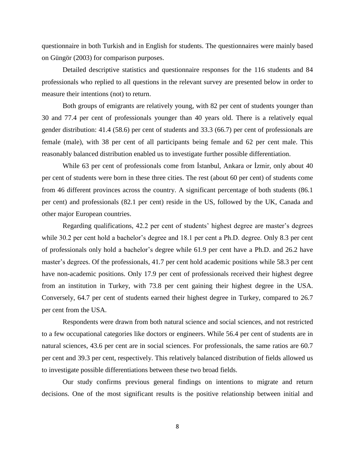questionnaire in both Turkish and in English for students. The questionnaires were mainly based on Güngör (2003) for comparison purposes.

Detailed descriptive statistics and questionnaire responses for the 116 students and 84 professionals who replied to all questions in the relevant survey are presented below in order to measure their intentions (not) to return.

Both groups of emigrants are relatively young, with 82 per cent of students younger than 30 and 77.4 per cent of professionals younger than 40 years old. There is a relatively equal gender distribution: 41.4 (58.6) per cent of students and 33.3 (66.7) per cent of professionals are female (male), with 38 per cent of all participants being female and 62 per cent male. This reasonably balanced distribution enabled us to investigate further possible differentiation.

While 63 per cent of professionals come from İstanbul, Ankara or İzmir, only about 40 per cent of students were born in these three cities. The rest (about 60 per cent) of students come from 46 different provinces across the country. A significant percentage of both students (86.1 per cent) and professionals (82.1 per cent) reside in the US, followed by the UK, Canada and other major European countries.

Regarding qualifications, 42.2 per cent of students' highest degree are master's degrees while 30.2 per cent hold a bachelor's degree and 18.1 per cent a Ph.D. degree. Only 8.3 per cent of professionals only hold a bachelor's degree while 61.9 per cent have a Ph.D. and 26.2 have master's degrees. Of the professionals, 41.7 per cent hold academic positions while 58.3 per cent have non-academic positions. Only 17.9 per cent of professionals received their highest degree from an institution in Turkey, with 73.8 per cent gaining their highest degree in the USA. Conversely, 64.7 per cent of students earned their highest degree in Turkey, compared to 26.7 per cent from the USA.

Respondents were drawn from both natural science and social sciences, and not restricted to a few occupational categories like doctors or engineers. While 56.4 per cent of students are in natural sciences, 43.6 per cent are in social sciences. For professionals, the same ratios are 60.7 per cent and 39.3 per cent, respectively. This relatively balanced distribution of fields allowed us to investigate possible differentiations between these two broad fields.

Our study confirms previous general findings on intentions to migrate and return decisions. One of the most significant results is the positive relationship between initial and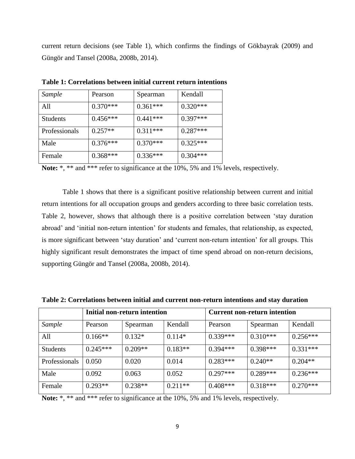current return decisions (see Table 1), which confirms the findings of Gökbayrak (2009) and Güngör and Tansel (2008a, 2008b, 2014).

| Sample          | Pearson    | Spearman   | Kendall    |
|-----------------|------------|------------|------------|
| A11             | $0.370***$ | $0.361***$ | $0.320***$ |
| <b>Students</b> | $0.456***$ | $0.441***$ | $0.397***$ |
| Professionals   | $0.257**$  | $0.311***$ | $0.287***$ |
| Male            | $0.376***$ | $0.370***$ | $0.325***$ |
| Female          | $0.368***$ | $0.336***$ | $0.304***$ |

**Table 1: Correlations between initial current return intentions**

**Note:** \*, \*\* and \*\*\* refer to significance at the 10%, 5% and 1% levels, respectively.

Table 1 shows that there is a significant positive relationship between current and initial return intentions for all occupation groups and genders according to three basic correlation tests. Table 2, however, shows that although there is a positive correlation between 'stay duration abroad' and 'initial non-return intention' for students and females, that relationship, as expected, is more significant between 'stay duration' and 'current non-return intention' for all groups. This highly significant result demonstrates the impact of time spend abroad on non-return decisions, supporting Güngör and Tansel (2008a, 2008b, 2014).

|                 |            | Initial non-return intention |           |            | Current non-return intention |            |  |  |  |
|-----------------|------------|------------------------------|-----------|------------|------------------------------|------------|--|--|--|
| Sample          | Pearson    | Spearman                     | Kendall   | Pearson    | Spearman                     | Kendall    |  |  |  |
| All             | $0.166**$  | $0.132*$                     | $0.114*$  | $0.339***$ | $0.310***$                   | $0.256***$ |  |  |  |
| <b>Students</b> | $0.245***$ | $0.209**$                    | $0.183**$ | $0.394***$ | $0.398***$                   | $0.331***$ |  |  |  |
| Professionals   | 0.050      | 0.020                        | 0.014     | $0.283***$ | $0.240**$                    | $0.204**$  |  |  |  |
| Male            | 0.092      | 0.063                        | 0.052     | $0.297***$ | $0.289***$                   | $0.236***$ |  |  |  |
| Female          | $0.293**$  | $0.238**$                    | $0.211**$ | $0.408***$ | $0.318***$                   | $0.270***$ |  |  |  |

**Table 2: Correlations between initial and current non-return intentions and stay duration** 

Note: \*, \*\* and \*\*\* refer to significance at the 10%, 5% and 1% levels, respectively.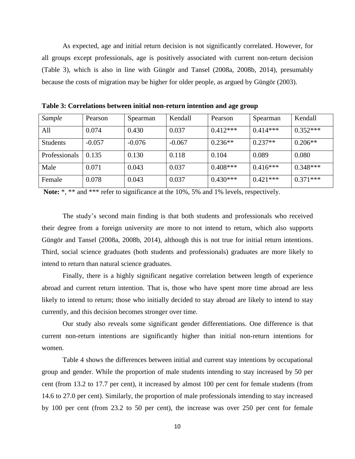As expected, age and initial return decision is not significantly correlated. However, for all groups except professionals, age is positively associated with current non-return decision (Table 3), which is also in line with Güngör and Tansel (2008a, 2008b, 2014), presumably because the costs of migration may be higher for older people, as argued by Güngör (2003).

| Sample          | Pearson  | Spearman | Kendall  | Pearson    | Spearman   | Kendall    |
|-----------------|----------|----------|----------|------------|------------|------------|
| All             | 0.074    | 0.430    | 0.037    | $0.412***$ | $0.414***$ | $0.352***$ |
| <b>Students</b> | $-0.057$ | $-0.076$ | $-0.067$ | $0.236**$  | $0.237**$  | $0.206**$  |
| Professionals   | 0.135    | 0.130    | 0.118    | 0.104      | 0.089      | 0.080      |
| Male            | 0.071    | 0.043    | 0.037    | $0.408***$ | $0.416***$ | $0.348***$ |
| Female          | 0.078    | 0.043    | 0.037    | $0.430***$ | $0.421***$ | $0.371***$ |

**Table 3: Correlations between initial non-return intention and age group** 

**Note:** \*, \*\* and \*\*\* refer to significance at the 10%, 5% and 1% levels, respectively.

The study's second main finding is that both students and professionals who received their degree from a foreign university are more to not intend to return, which also supports Güngör and Tansel (2008a, 2008b, 2014), although this is not true for initial return intentions. Third, social science graduates (both students and professionals) graduates are more likely to intend to return than natural science graduates.

Finally, there is a highly significant negative correlation between length of experience abroad and current return intention. That is, those who have spent more time abroad are less likely to intend to return; those who initially decided to stay abroad are likely to intend to stay currently, and this decision becomes stronger over time.

Our study also reveals some significant gender differentiations. One difference is that current non-return intentions are significantly higher than initial non-return intentions for women.

Table 4 shows the differences between initial and current stay intentions by occupational group and gender. While the proportion of male students intending to stay increased by 50 per cent (from 13.2 to 17.7 per cent), it increased by almost 100 per cent for female students (from 14.6 to 27.0 per cent). Similarly, the proportion of male professionals intending to stay increased by 100 per cent (from 23.2 to 50 per cent), the increase was over 250 per cent for female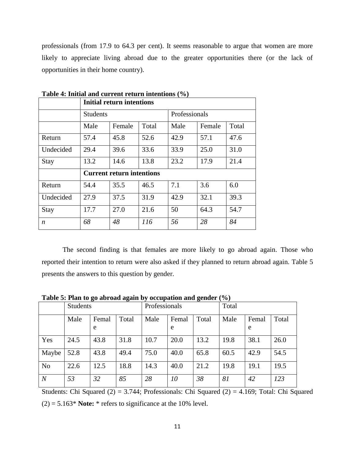professionals (from 17.9 to 64.3 per cent). It seems reasonable to argue that women are more likely to appreciate living abroad due to the greater opportunities there (or the lack of opportunities in their home country).

|                  |                 | <b>Initial return intentions</b> |       |               |        |       |  |  |  |
|------------------|-----------------|----------------------------------|-------|---------------|--------|-------|--|--|--|
|                  | <b>Students</b> |                                  |       | Professionals |        |       |  |  |  |
|                  | Male            | Female                           | Total | Male          | Female | Total |  |  |  |
| Return           | 57.4            | 45.8                             | 52.6  | 42.9          | 57.1   | 47.6  |  |  |  |
| Undecided        | 29.4            | 39.6                             | 33.6  | 33.9          | 25.0   | 31.0  |  |  |  |
| <b>Stay</b>      | 13.2            | 13.8<br>14.6                     |       |               | 17.9   | 21.4  |  |  |  |
|                  |                 | <b>Current return intentions</b> |       |               |        |       |  |  |  |
| Return           | 54.4            | 35.5                             | 46.5  | 7.1           | 3.6    | 6.0   |  |  |  |
| Undecided        | 27.9            | 37.5                             | 31.9  | 42.9          | 32.1   | 39.3  |  |  |  |
| <b>Stay</b>      | 17.7            | 27.0                             | 21.6  | 50            | 64.3   | 54.7  |  |  |  |
| $\boldsymbol{n}$ | 68              | 48                               | 116   | 56            | 28     | 84    |  |  |  |

**Table 4: Initial and current return intentions (%)**

The second finding is that females are more likely to go abroad again. Those who reported their intention to return were also asked if they planned to return abroad again. Table 5 presents the answers to this question by gender.

**Table 5: Plan to go abroad again by occupation and gender (%)**

|                  | <b>Students</b> |            |       | Professionals |            |       | Total |            |       |  |
|------------------|-----------------|------------|-------|---------------|------------|-------|-------|------------|-------|--|
|                  | Male            | Femal<br>e | Total | Male          | Femal<br>e | Total | Male  | Femal<br>e | Total |  |
| Yes              | 24.5            | 43.8       | 31.8  | 10.7          | 20.0       | 13.2  | 19.8  | 38.1       | 26.0  |  |
| Maybe            | 52.8            | 43.8       | 49.4  | 75.0          | 40.0       | 65.8  | 60.5  | 42.9       | 54.5  |  |
| N <sub>o</sub>   | 22.6            | 12.5       | 18.8  | 14.3          | 40.0       | 21.2  | 19.8  | 19.1       | 19.5  |  |
| $\boldsymbol{N}$ | 53              | 32         | 85    | 28            | 10         | 38    | 81    | 42         | 123   |  |

Students: Chi Squared  $(2) = 3.744$ ; Professionals: Chi Squared  $(2) = 4.169$ ; Total: Chi Squared

 $(2) = 5.163*$  **Note:**  $*$  refers to significance at the 10% level.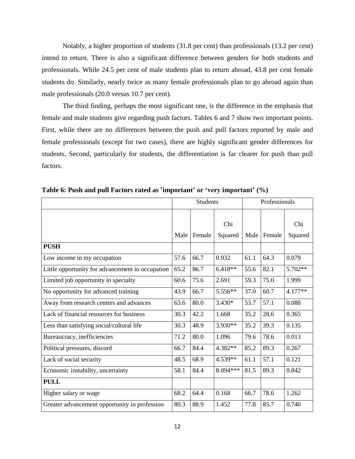Notably, a higher proportion of students (31.8 per cent) than professionals (13.2 per cent) intend to return. There is also a significant difference between genders for both students and professionals. While 24.5 per cent of male students plan to return abroad, 43.8 per cent female students do. Similarly, nearly twice as many female professionals plan to go abroad again than male professionals (20.0 versus 10.7 per cent).

The third finding, perhaps the most significant one, is the difference in the emphasis that female and male students give regarding push factors. Tables 6 and 7 show two important points. First, while there are no differences between the push and pull factors reported by male and female professionals (except for two cases), there are highly significant gender differences for students. Second, particularly for students, the differentiation is far clearer for push than pull factors.

|                                                  |      | <b>Students</b> |                | Professionals |        |         |
|--------------------------------------------------|------|-----------------|----------------|---------------|--------|---------|
|                                                  | Male | Female          | Chi<br>Squared | Male          | Female | Chi     |
| <b>PUSH</b>                                      |      |                 |                |               |        | Squared |
|                                                  |      |                 |                |               |        |         |
| Low income in my occupation                      | 57.6 | 66.7            | 0.932          | 61.1          | 64.3   | 0.079   |
| Little opportunity for advancement in occupation | 65.2 | 86.7            | $6.418**$      | 55.6          | 82.1   | 5.702** |
| Limited job opportunity in specialty             | 60.6 | 75.6            | 2.691          | 59.3          | 75.0   | 1.999   |
| No opportunity for advanced training             | 43.9 | 66.7            | 5.556**        | 37.0          | 60.7   | 4.177** |
| Away from research centers and advances          | 63.6 | 80.0            | $3.430*$       | 53.7          | 57.1   | 0.088   |
| Lack of financial resources for business         | 30.3 | 42.2            | 1.668          | 35.2          | 28.6   | 0.365   |
| Less than satisfying social/cultural life        | 30.3 | 48.9            | 3.930**        | 35.2          | 39.3   | 0.135   |
| Bureaucracy, inefficiencies                      | 71.2 | 80.0            | 1.096          | 79.6          | 78.6   | 0.013   |
| Political pressures, discord                     | 66.7 | 84.4            | 4.382**        | 85.2          | 89.3   | 0.267   |
| Lack of social security                          | 48.5 | 68.9            | 4.539**        | 61.1          | 57.1   | 0.121   |
| Economic instability, uncertainty                | 58.1 | 84.4            | 8.094***       | 81.5          | 89.3   | 0.842   |
| <b>PULL</b>                                      |      |                 |                |               |        |         |
| Higher salary or wage                            | 68.2 | 64.4            | 0.168          | 66.7          | 78.6   | 1.262   |
| Greater advancement opportunity in profession    | 80.3 | 88.9            | 1.452          | 77.8          | 85.7   | 0.740   |

**Table 6: Push and pull Factors rated as 'important' or 'very important' (%)**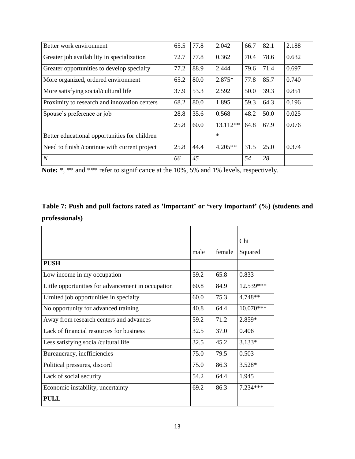| Better work environment                       | 65.5 | 77.8 | 2.042     | 66.7 | 82.1 | 2.188 |
|-----------------------------------------------|------|------|-----------|------|------|-------|
| Greater job availability in specialization    | 72.7 | 77.8 | 0.362     | 70.4 | 78.6 | 0.632 |
| Greater opportunities to develop specialty    | 77.2 | 88.9 | 2.444     | 79.6 | 71.4 | 0.697 |
| More organized, ordered environment           | 65.2 | 80.0 | 2.875*    | 77.8 | 85.7 | 0.740 |
| More satisfying social/cultural life          | 37.9 | 53.3 | 2.592     | 50.0 | 39.3 | 0.851 |
| Proximity to research and innovation centers  | 68.2 | 80.0 | 1.895     | 59.3 | 64.3 | 0.196 |
| Spouse's preference or job                    | 28.8 | 35.6 | 0.568     | 48.2 | 50.0 | 0.025 |
|                                               | 25.8 | 60.0 | 13.112**  | 64.8 | 67.9 | 0.076 |
| Better educational opportunities for children |      |      | $\ast$    |      |      |       |
| Need to finish /continue with current project | 25.8 | 44.4 | $4.205**$ | 31.5 | 25.0 | 0.374 |
| $\overline{N}$                                | 66   | 45   |           | 54   | 28   |       |

Note: \*, \*\* and \*\*\* refer to significance at the 10%, 5% and 1% levels, respectively.

# **Table 7: Push and pull factors rated as 'important' or 'very important' (%) (students and professionals)**

|                                                    |      |        | Chi       |
|----------------------------------------------------|------|--------|-----------|
|                                                    | male | female | Squared   |
| <b>PUSH</b>                                        |      |        |           |
| Low income in my occupation                        | 59.2 | 65.8   | 0.833     |
| Little opportunities for advancement in occupation | 60.8 | 84.9   | 12.539*** |
| Limited job opportunities in specialty             | 60.0 | 75.3   | 4.748**   |
| No opportunity for advanced training               | 40.8 | 64.4   | 10.070*** |
| Away from research centers and advances            | 59.2 | 71.2   | 2.859*    |
| Lack of financial resources for business           | 32.5 | 37.0   | 0.406     |
| Less satisfying social/cultural life               | 32.5 | 45.2   | $3.133*$  |
| Bureaucracy, inefficiencies                        | 75.0 | 79.5   | 0.503     |
| Political pressures, discord                       | 75.0 | 86.3   | $3.528*$  |
| Lack of social security                            | 54.2 | 64.4   | 1.945     |
| Economic instability, uncertainty                  | 69.2 | 86.3   | 7.234***  |
| <b>PULL</b>                                        |      |        |           |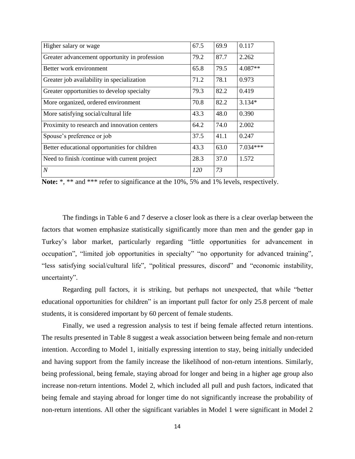| Higher salary or wage                         | 67.5       | 69.9 | 0.117    |
|-----------------------------------------------|------------|------|----------|
| Greater advancement opportunity in profession | 79.2       | 87.7 | 2.262    |
| Better work environment                       | 65.8       | 79.5 | 4.087**  |
| Greater job availability in specialization    | 71.2       | 78.1 | 0.973    |
| Greater opportunities to develop specialty    | 79.3       | 82.2 | 0.419    |
| More organized, ordered environment           | 70.8       | 82.2 | $3.134*$ |
| More satisfying social/cultural life          | 43.3       | 48.0 | 0.390    |
| Proximity to research and innovation centers  | 64.2       | 74.0 | 2.002    |
| Spouse's preference or job                    | 37.5       | 41.1 | 0.247    |
| Better educational opportunities for children | 43.3       | 63.0 | 7.034*** |
| Need to finish /continue with current project | 28.3       | 37.0 | 1.572    |
| $\boldsymbol{N}$                              | <i>120</i> | 73   |          |

|  |  |  |  | <b>Note:</b> *, ** and *** refer to significance at the 10%, 5% and 1% levels, respectively. |  |  |  |  |  |  |  |
|--|--|--|--|----------------------------------------------------------------------------------------------|--|--|--|--|--|--|--|
|--|--|--|--|----------------------------------------------------------------------------------------------|--|--|--|--|--|--|--|

The findings in Table 6 and 7 deserve a closer look as there is a clear overlap between the factors that women emphasize statistically significantly more than men and the gender gap in Turkey's labor market, particularly regarding "little opportunities for advancement in occupation", "limited job opportunities in specialty" "no opportunity for advanced training", "less satisfying social/cultural life", "political pressures, discord" and "economic instability, uncertainty".

Regarding pull factors, it is striking, but perhaps not unexpected, that while "better educational opportunities for children" is an important pull factor for only 25.8 percent of male students, it is considered important by 60 percent of female students.

Finally, we used a regression analysis to test if being female affected return intentions. The results presented in Table 8 suggest a weak association between being female and non-return intention. According to Model 1, initially expressing intention to stay, being initially undecided and having support from the family increase the likelihood of non-return intentions. Similarly, being professional, being female, staying abroad for longer and being in a higher age group also increase non-return intentions. Model 2, which included all pull and push factors, indicated that being female and staying abroad for longer time do not significantly increase the probability of non-return intentions. All other the significant variables in Model 1 were significant in Model 2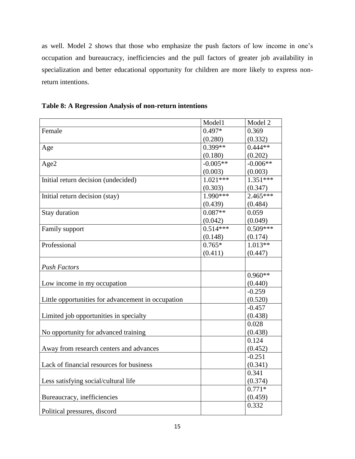as well. Model 2 shows that those who emphasize the push factors of low income in one's occupation and bureaucracy, inefficiencies and the pull factors of greater job availability in specialization and better educational opportunity for children are more likely to express nonreturn intentions.

|  |  |  | Table 8: A Regression Analysis of non-return intentions |  |
|--|--|--|---------------------------------------------------------|--|
|--|--|--|---------------------------------------------------------|--|

|                                                    | Model1     | Model 2    |
|----------------------------------------------------|------------|------------|
| Female                                             | $0.497*$   | 0.369      |
|                                                    | (0.280)    | (0.332)    |
| Age                                                | $0.399**$  | $0.444**$  |
|                                                    | (0.180)    | (0.202)    |
| Age2                                               | $-0.005**$ | $-0.006**$ |
|                                                    | (0.003)    | (0.003)    |
| Initial return decision (undecided)                | $1.021***$ | $1.351***$ |
|                                                    | (0.303)    | (0.347)    |
| Initial return decision (stay)                     | $1.990***$ | $2.465***$ |
|                                                    | (0.439)    | (0.484)    |
| Stay duration                                      | $0.087**$  | 0.059      |
|                                                    | (0.042)    | (0.049)    |
| Family support                                     | $0.514***$ | $0.509***$ |
|                                                    | (0.148)    | (0.174)    |
| Professional                                       | $0.765*$   | $1.013**$  |
|                                                    | (0.411)    | (0.447)    |
| <b>Push Factors</b>                                |            |            |
|                                                    |            | $0.960**$  |
| Low income in my occupation                        |            | (0.440)    |
|                                                    |            | $-0.259$   |
| Little opportunities for advancement in occupation |            | (0.520)    |
|                                                    |            | $-0.457$   |
| Limited job opportunities in specialty             |            | (0.438)    |
|                                                    |            | 0.028      |
| No opportunity for advanced training               |            | (0.438)    |
|                                                    |            | 0.124      |
| Away from research centers and advances            |            | (0.452)    |
|                                                    |            | $-0.251$   |
| Lack of financial resources for business           |            | (0.341)    |
|                                                    |            | 0.341      |
| Less satisfying social/cultural life               |            | (0.374)    |
|                                                    |            | $0.771*$   |
| Bureaucracy, inefficiencies                        |            | (0.459)    |
| Political pressures, discord                       |            | 0.332      |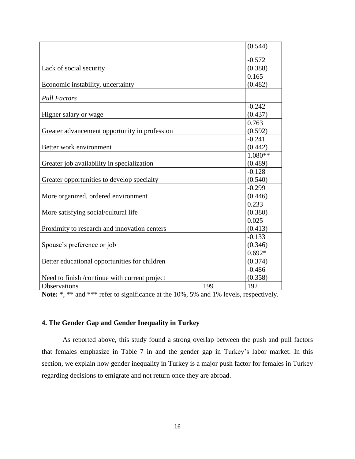|                                                |     | (0.544)   |
|------------------------------------------------|-----|-----------|
|                                                |     | $-0.572$  |
| Lack of social security                        |     | (0.388)   |
|                                                |     | 0.165     |
| Economic instability, uncertainty              |     | (0.482)   |
|                                                |     |           |
| <b>Pull Factors</b>                            |     |           |
|                                                |     | $-0.242$  |
| Higher salary or wage                          |     | (0.437)   |
|                                                |     | 0.763     |
| Greater advancement opportunity in profession  |     | (0.592)   |
|                                                |     | $-0.241$  |
| Better work environment                        |     | (0.442)   |
|                                                |     | $1.080**$ |
| Greater job availability in specialization     |     | (0.489)   |
|                                                |     | $-0.128$  |
| Greater opportunities to develop specialty     |     | (0.540)   |
|                                                |     | $-0.299$  |
| More organized, ordered environment            |     | (0.446)   |
|                                                |     | 0.233     |
| More satisfying social/cultural life           |     | (0.380)   |
|                                                |     | 0.025     |
| Proximity to research and innovation centers   |     | (0.413)   |
|                                                |     | $-0.133$  |
| Spouse's preference or job                     |     | (0.346)   |
|                                                |     | $0.692*$  |
| Better educational opportunities for children  |     | (0.374)   |
|                                                |     | $-0.486$  |
| Need to finish / continue with current project |     | (0.358)   |
| Observations                                   | 199 | 192       |

Note: \*, \*\* and \*\*\* refer to significance at the 10%, 5% and 1% levels, respectively.

# **4. The Gender Gap and Gender Inequality in Turkey**

As reported above, this study found a strong overlap between the push and pull factors that females emphasize in Table 7 in and the gender gap in Turkey's labor market. In this section, we explain how gender inequality in Turkey is a major push factor for females in Turkey regarding decisions to emigrate and not return once they are abroad.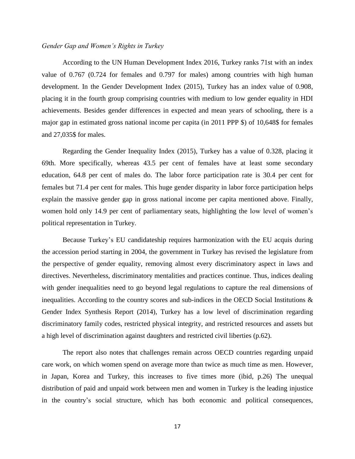# *Gender Gap and Women's Rights in Turkey*

According to the UN Human Development Index 2016, Turkey ranks 71st with an index value of 0.767 (0.724 for females and 0.797 for males) among countries with high human development. In the Gender Development Index (2015), Turkey has an index value of 0.908, placing it in the fourth group comprising countries with medium to low gender equality in HDI achievements. Besides gender differences in expected and mean years of schooling, there is a major gap in estimated gross national income per capita (in 2011 PPP \$) of 10,648\$ for females and 27,035\$ for males.

Regarding the Gender Inequality Index (2015), Turkey has a value of 0.328, placing it 69th. More specifically, whereas 43.5 per cent of females have at least some secondary education, 64.8 per cent of males do. The labor force participation rate is 30.4 per cent for females but 71.4 per cent for males. This huge gender disparity in labor force participation helps explain the massive gender gap in gross national income per capita mentioned above. Finally, women hold only 14.9 per cent of parliamentary seats, highlighting the low level of women's political representation in Turkey.

Because Turkey's EU candidateship requires harmonization with the EU acquis during the accession period starting in 2004, the government in Turkey has revised the legislature from the perspective of gender equality, removing almost every discriminatory aspect in laws and directives. Nevertheless, discriminatory mentalities and practices continue. Thus, indices dealing with gender inequalities need to go beyond legal regulations to capture the real dimensions of inequalities. According to the country scores and sub-indices in the OECD Social Institutions  $\&$ Gender Index Synthesis Report (2014), Turkey has a low level of discrimination regarding discriminatory family codes, restricted physical integrity, and restricted resources and assets but a high level of discrimination against daughters and restricted civil liberties (p.62).

The report also notes that challenges remain across OECD countries regarding unpaid care work, on which women spend on average more than twice as much time as men. However, in Japan, Korea and Turkey, this increases to five times more (ibid, p.26) The unequal distribution of paid and unpaid work between men and women in Turkey is the leading injustice in the country's social structure, which has both economic and political consequences,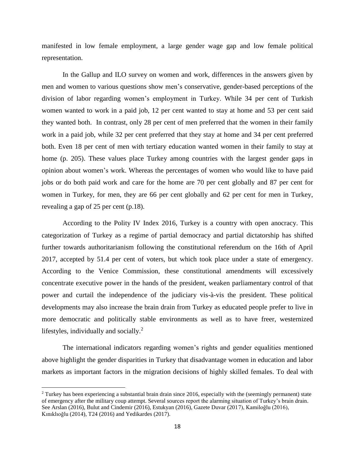manifested in low female employment, a large gender wage gap and low female political representation.

In the Gallup and ILO survey on women and work, differences in the answers given by men and women to various questions show men's conservative, gender-based perceptions of the division of labor regarding women's employment in Turkey. While 34 per cent of Turkish women wanted to work in a paid job, 12 per cent wanted to stay at home and 53 per cent said they wanted both. In contrast, only 28 per cent of men preferred that the women in their family work in a paid job, while 32 per cent preferred that they stay at home and 34 per cent preferred both. Even 18 per cent of men with tertiary education wanted women in their family to stay at home (p. 205). These values place Turkey among countries with the largest gender gaps in opinion about women's work. Whereas the percentages of women who would like to have paid jobs or do both paid work and care for the home are 70 per cent globally and 87 per cent for women in Turkey, for men, they are 66 per cent globally and 62 per cent for men in Turkey, revealing a gap of 25 per cent (p.18).

According to the Polity IV Index 2016, Turkey is a country with open anocracy. This categorization of Turkey as a regime of partial democracy and partial dictatorship has shifted further towards authoritarianism following the constitutional referendum on the 16th of April 2017, accepted by 51.4 per cent of voters, but which took place under a state of emergency. According to the Venice Commission, these constitutional amendments will excessively concentrate executive power in the hands of the president, weaken parliamentary control of that power and curtail the independence of the judiciary vis-à-vis the president. These political developments may also increase the brain drain from Turkey as educated people prefer to live in more democratic and politically stable environments as well as to have freer, westernized lifestyles, individually and socially.<sup>2</sup>

The international indicators regarding women's rights and gender equalities mentioned above highlight the gender disparities in Turkey that disadvantage women in education and labor markets as important factors in the migration decisions of highly skilled females. To deal with

 $\overline{a}$ 

 $2$  Turkey has been experiencing a substantial brain drain since 2016, especially with the (seemingly permanent) state of emergency after the military coup attempt. Several sources report the alarming situation of Turkey's brain drain. See Arslan (2016), Bulut and Cindemir (2016), Estukyan (2016), Gazete Duvar (2017), Kamiloğlu (2016), Kınıklıoğlu (2014), T24 (2016) and Yedikardes (2017).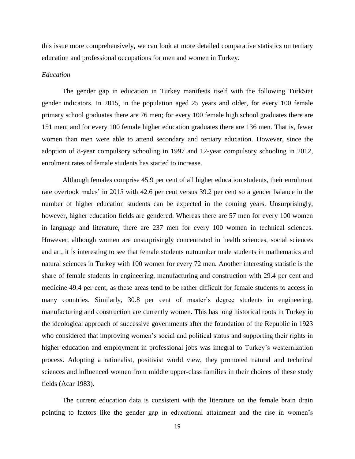this issue more comprehensively, we can look at more detailed comparative statistics on tertiary education and professional occupations for men and women in Turkey.

### *Education*

The gender gap in education in Turkey manifests itself with the following TurkStat gender indicators. In 2015, in the population aged 25 years and older, for every 100 female primary school graduates there are 76 men; for every 100 female high school graduates there are 151 men; and for every 100 female higher education graduates there are 136 men. That is, fewer women than men were able to attend secondary and tertiary education. However, since the adoption of 8-year compulsory schooling in 1997 and 12-year compulsory schooling in 2012, enrolment rates of female students has started to increase.

Although females comprise 45.9 per cent of all higher education students, their enrolment rate overtook males' in 2015 with 42.6 per cent versus 39.2 per cent so a gender balance in the number of higher education students can be expected in the coming years. Unsurprisingly, however, higher education fields are gendered. Whereas there are 57 men for every 100 women in language and literature, there are 237 men for every 100 women in technical sciences. However, although women are unsurprisingly concentrated in health sciences, social sciences and art, it is interesting to see that female students outnumber male students in mathematics and natural sciences in Turkey with 100 women for every 72 men. Another interesting statistic is the share of female students in engineering, manufacturing and construction with 29.4 per cent and medicine 49.4 per cent, as these areas tend to be rather difficult for female students to access in many countries. Similarly, 30.8 per cent of master's degree students in engineering, manufacturing and construction are currently women. This has long historical roots in Turkey in the ideological approach of successive governments after the foundation of the Republic in 1923 who considered that improving women's social and political status and supporting their rights in higher education and employment in professional jobs was integral to Turkey's westernization process. Adopting a rationalist, positivist world view, they promoted natural and technical sciences and influenced women from middle upper-class families in their choices of these study fields (Acar 1983).

The current education data is consistent with the literature on the female brain drain pointing to factors like the gender gap in educational attainment and the rise in women's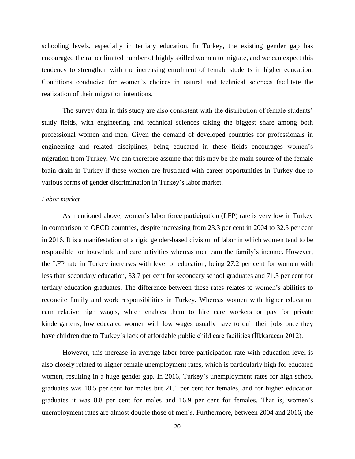schooling levels, especially in tertiary education. In Turkey, the existing gender gap has encouraged the rather limited number of highly skilled women to migrate, and we can expect this tendency to strengthen with the increasing enrolment of female students in higher education. Conditions conducive for women's choices in natural and technical sciences facilitate the realization of their migration intentions.

The survey data in this study are also consistent with the distribution of female students' study fields, with engineering and technical sciences taking the biggest share among both professional women and men. Given the demand of developed countries for professionals in engineering and related disciplines, being educated in these fields encourages women's migration from Turkey. We can therefore assume that this may be the main source of the female brain drain in Turkey if these women are frustrated with career opportunities in Turkey due to various forms of gender discrimination in Turkey's labor market.

# *Labor market*

As mentioned above, women's labor force participation (LFP) rate is very low in Turkey in comparison to OECD countries, despite increasing from 23.3 per cent in 2004 to 32.5 per cent in 2016. It is a manifestation of a rigid gender-based division of labor in which women tend to be responsible for household and care activities whereas men earn the family's income. However, the LFP rate in Turkey increases with level of education, being 27.2 per cent for women with less than secondary education, 33.7 per cent for secondary school graduates and 71.3 per cent for tertiary education graduates. The difference between these rates relates to women's abilities to reconcile family and work responsibilities in Turkey. Whereas women with higher education earn relative high wages, which enables them to hire care workers or pay for private kindergartens, low educated women with low wages usually have to quit their jobs once they have children due to Turkey's lack of affordable public child care facilities (İlkkaracan 2012).

However, this increase in average labor force participation rate with education level is also closely related to higher female unemployment rates, which is particularly high for educated women, resulting in a huge gender gap. In 2016, Turkey's unemployment rates for high school graduates was 10.5 per cent for males but 21.1 per cent for females, and for higher education graduates it was 8.8 per cent for males and 16.9 per cent for females. That is, women's unemployment rates are almost double those of men's. Furthermore, between 2004 and 2016, the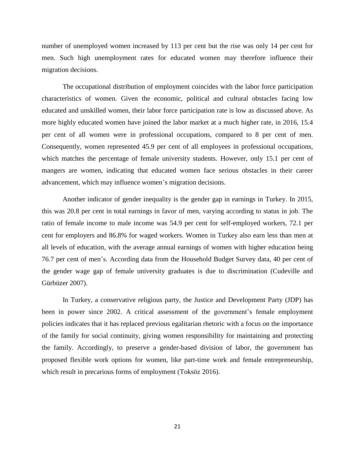number of unemployed women increased by 113 per cent but the rise was only 14 per cent for men. Such high unemployment rates for educated women may therefore influence their migration decisions.

The occupational distribution of employment coincides with the labor force participation characteristics of women. Given the economic, political and cultural obstacles facing low educated and unskilled women, their labor force participation rate is low as discussed above. As more highly educated women have joined the labor market at a much higher rate, in 2016, 15.4 per cent of all women were in professional occupations, compared to 8 per cent of men. Consequently, women represented 45.9 per cent of all employees in professional occupations, which matches the percentage of female university students. However, only 15.1 per cent of mangers are women, indicating that educated women face serious obstacles in their career advancement, which may influence women's migration decisions.

Another indicator of gender inequality is the gender gap in earnings in Turkey. In 2015, this was 20.8 per cent in total earnings in favor of men, varying according to status in job. The ratio of female income to male income was 54.9 per cent for self-employed workers, 72.1 per cent for employers and 86.8% for waged workers. Women in Turkey also earn less than men at all levels of education, with the average annual earnings of women with higher education being 76.7 per cent of men's. According data from the Household Budget Survey data, 40 per cent of the gender wage gap of female university graduates is due to discrimination (Cudeville and Gürbüzer 2007).

In Turkey, a conservative religious party, the Justice and Development Party (JDP) has been in power since 2002. A critical assessment of the government's female employment policies indicates that it has replaced previous egalitarian rhetoric with a focus on the importance of the family for social continuity, giving women responsibility for maintaining and protecting the family. Accordingly, to preserve a gender-based division of labor, the government has proposed flexible work options for women, like part-time work and female entrepreneurship, which result in precarious forms of employment (Toksöz 2016).

21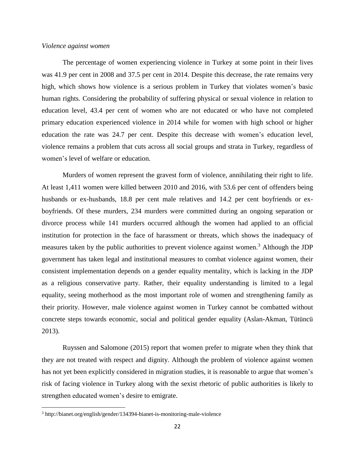### *Violence against women*

The percentage of women experiencing violence in Turkey at some point in their lives was 41.9 per cent in 2008 and 37.5 per cent in 2014. Despite this decrease, the rate remains very high, which shows how violence is a serious problem in Turkey that violates women's basic human rights. Considering the probability of suffering physical or sexual violence in relation to education level, 43.4 per cent of women who are not educated or who have not completed primary education experienced violence in 2014 while for women with high school or higher education the rate was 24.7 per cent. Despite this decrease with women's education level, violence remains a problem that cuts across all social groups and strata in Turkey, regardless of women's level of welfare or education.

Murders of women represent the gravest form of violence, annihilating their right to life. At least 1,411 women were killed between 2010 and 2016, with 53.6 per cent of offenders being husbands or ex-husbands, 18.8 per cent male relatives and 14.2 per cent boyfriends or exboyfriends. Of these murders, 234 murders were committed during an ongoing separation or divorce process while 141 murders occurred although the women had applied to an official institution for protection in the face of harassment or threats, which shows the inadequacy of measures taken by the public authorities to prevent violence against women.<sup>3</sup> Although the JDP government has taken legal and institutional measures to combat violence against women, their consistent implementation depends on a gender equality mentality, which is lacking in the JDP as a religious conservative party. Rather, their equality understanding is limited to a legal equality, seeing motherhood as the most important role of women and strengthening family as their priority. However, male violence against women in Turkey cannot be combatted without concrete steps towards economic, social and political gender equality (Aslan-Akman, Tütüncü 2013).

Ruyssen and Salomone (2015) report that women prefer to migrate when they think that they are not treated with respect and dignity. Although the problem of violence against women has not yet been explicitly considered in migration studies, it is reasonable to argue that women's risk of facing violence in Turkey along with the sexist rhetoric of public authorities is likely to strengthen educated women's desire to emigrate.

 $\overline{\phantom{a}}$ 

<sup>3</sup> http://bianet.org/english/gender/134394-bianet-is-monitoring-male-violence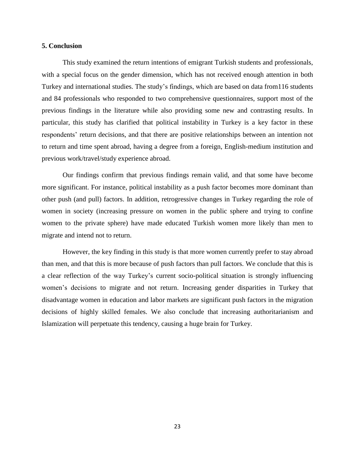# **5. Conclusion**

This study examined the return intentions of emigrant Turkish students and professionals, with a special focus on the gender dimension, which has not received enough attention in both Turkey and international studies. The study's findings, which are based on data from116 students and 84 professionals who responded to two comprehensive questionnaires, support most of the previous findings in the literature while also providing some new and contrasting results. In particular, this study has clarified that political instability in Turkey is a key factor in these respondents' return decisions, and that there are positive relationships between an intention not to return and time spent abroad, having a degree from a foreign, English-medium institution and previous work/travel/study experience abroad.

Our findings confirm that previous findings remain valid, and that some have become more significant. For instance, political instability as a push factor becomes more dominant than other push (and pull) factors. In addition, retrogressive changes in Turkey regarding the role of women in society (increasing pressure on women in the public sphere and trying to confine women to the private sphere) have made educated Turkish women more likely than men to migrate and intend not to return.

However, the key finding in this study is that more women currently prefer to stay abroad than men, and that this is more because of push factors than pull factors. We conclude that this is a clear reflection of the way Turkey's current socio-political situation is strongly influencing women's decisions to migrate and not return. Increasing gender disparities in Turkey that disadvantage women in education and labor markets are significant push factors in the migration decisions of highly skilled females. We also conclude that increasing authoritarianism and Islamization will perpetuate this tendency, causing a huge brain for Turkey.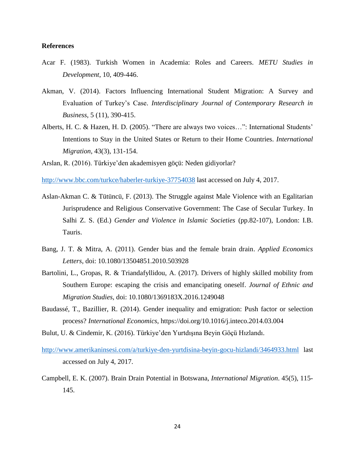# **References**

- Acar F. (1983). Turkish Women in Academia: Roles and Careers. *METU Studies in Development*, 10, 409-446.
- Akman, V. (2014). Factors Influencing International Student Migration: A Survey and Evaluation of Turkey's Case. *Interdisciplinary Journal of Contemporary Research in Business*, 5 (11), 390-415.
- Alberts, H. C. & Hazen, H. D. (2005). "There are always two voices…": International Students' Intentions to Stay in the United States or Return to their Home Countries. *International Migration*, 43(3), 131-154.
- Arslan, R. (2016). Türkiye'den akademisyen göçü: Neden gidiyorlar?

<http://www.bbc.com/turkce/haberler-turkiye-37754038> last accessed on July 4, 2017.

- Aslan-Akman C. & Tütüncü, F. (2013). The Struggle against Male Violence with an Egalitarian Jurisprudence and Religious Conservative Government: The Case of Secular Turkey. In Salhi Z. S. (Ed.) *Gender and Violence in Islamic Societies* (pp.82-107), London: I.B. Tauris.
- Bang, J. T. & Mitra, A. (2011). Gender bias and the female brain drain. *Applied Economics Letters*, doi: 10.1080/13504851.2010.503928
- Bartolini, L., Gropas, R. & Triandafyllidou, A. (2017). Drivers of highly skilled mobility from Southern Europe: escaping the crisis and emancipating oneself. *Journal of Ethnic and Migration Studies*, doi: 10.1080/1369183X.2016.1249048
- Baudassé, T., Bazillier, R. (2014). Gender inequality and emigration: Push factor or selection process? *International Economics*, https://doi.org/10.1016/j.inteco.2014.03.004
- Bulut, U. & Cindemir, K. (2016). Türkiye'den Yurtdışına Beyin Göçü Hızlandı.
- <http://www.amerikaninsesi.com/a/turkiye-den-yurtdisina-beyin-gocu-hizlandi/3464933.html> last accessed on July 4, 2017.
- Campbell, E. K. (2007). Brain Drain Potential in Botswana, *International Migration*. 45(5), 115- 145.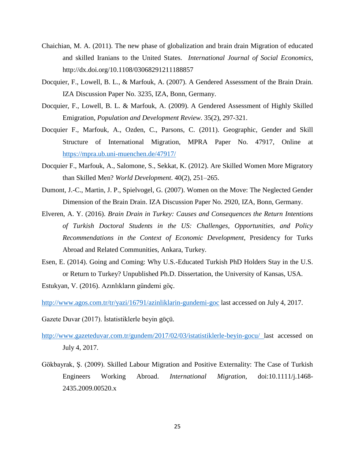- Chaichian, M. A. (2011). The new phase of globalization and brain drain Migration of educated and skilled Iranians to the United States. *International Journal of Social Economics*, http://dx.doi.org/10.1108/03068291211188857
- Docquier, F., Lowell, B. L., & Marfouk, A. (2007). A Gendered Assessment of the Brain Drain. IZA Discussion Paper No. 3235, IZA, Bonn, Germany.
- Docquier, F., Lowell, B. L. & Marfouk, A. (2009). A Gendered Assessment of Highly Skilled Emigration, *Population and Development Review.* 35(2), 297-321.
- Docquier F., Marfouk, A., Ozden, C., Parsons, C. (2011). Geographic, Gender and Skill Structure of International Migration, MPRA Paper No. 47917, Online at <https://mpra.ub.uni-muenchen.de/47917/>
- Docquier F., Marfouk, A., Salomone, S., Sekkat, K. (2012). Are Skilled Women More Migratory than Skilled Men? *World Development*. 40(2), 251–265.
- Dumont, J.-C., Martin, J. P., Spielvogel, G. (2007). Women on the Move: The Neglected Gender Dimension of the Brain Drain. IZA Discussion Paper No. 2920, IZA, Bonn, Germany.
- Elveren, A. Y. (2016). *Brain Drain in Turkey: Causes and Consequences the Return Intentions of Turkish Doctoral Students in the US: Challenges, Opportunities, and Policy Recommendations in the Context of Economic Development*, Presidency for Turks Abroad and Related Communities, Ankara, Turkey.
- Esen, E. (2014). Going and Coming: Why U.S.-Educated Turkish PhD Holders Stay in the U.S. or Return to Turkey? Unpublished Ph.D. Dissertation, the University of Kansas, USA.

Estukyan, V. (2016). Azınlıkların gündemi göç.

<http://www.agos.com.tr/tr/yazi/16791/azinliklarin-gundemi-goc> last accessed on July 4, 2017.

Gazete Duvar (2017). İstatistiklerle beyin göçü.

- <http://www.gazeteduvar.com.tr/gundem/2017/02/03/istatistiklerle-beyin-gocu/> last accessed on July 4, 2017.
- Gökbayrak, Ş. (2009). Skilled Labour Migration and Positive Externality: The Case of Turkish Engineers Working Abroad. *International Migration*, doi:10.1111/j.1468- 2435.2009.00520.x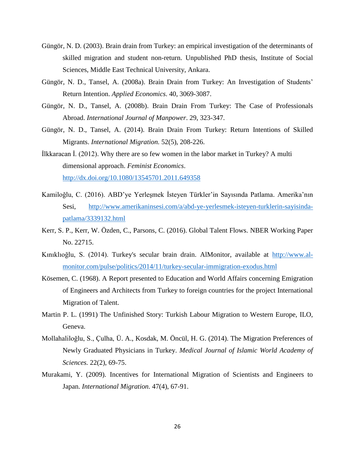- Güngör, N. D. (2003). Brain drain from Turkey: an empirical investigation of the determinants of skilled migration and student non-return. Unpublished PhD thesis, Institute of Social Sciences, Middle East Technical University, Ankara.
- Güngör, N. D., Tansel, A. (2008a). Brain Drain from Turkey: An Investigation of Students' Return Intention. *Applied Economics*. 40, 3069-3087.
- Güngör, N. D., Tansel, A. (2008b). Brain Drain From Turkey: The Case of Professionals Abroad. *International Journal of Manpower*. 29, 323-347.
- Güngör, N. D., Tansel, A. (2014). Brain Drain From Turkey: Return Intentions of Skilled Migrants. *International Migration.* 52(5), 208-226.
- İlkkaracan İ. (2012). Why there are so few women in the labor market in Turkey? A multi dimensional approach. *Feminist Economics*. <http://dx.doi.org/10.1080/13545701.2011.649358>
- Kamiloğlu, C. (2016). ABD'ye Yerleşmek İsteyen Türkler'in Sayısında Patlama. Amerika'nın Sesi, [http://www.amerikaninsesi.com/a/abd-ye-yerlesmek-isteyen-turklerin-sayisinda](http://www.amerikaninsesi.com/a/abd-ye-yerlesmek-isteyen-turklerin-sayisinda-patlama/3339132.html)[patlama/3339132.html](http://www.amerikaninsesi.com/a/abd-ye-yerlesmek-isteyen-turklerin-sayisinda-patlama/3339132.html)
- Kerr, S. P., Kerr, W. Özden, C., Parsons, C. (2016). Global Talent Flows. NBER Working Paper No. 22715.
- Kınıklıoğlu, S. (2014). Turkey's secular brain drain. AlMonitor, available at [http://www.al](http://www.al-monitor.com/pulse/politics/2014/11/turkey-secular-immigration-exodus.html)[monitor.com/pulse/politics/2014/11/turkey-secular-immigration-exodus.html](http://www.al-monitor.com/pulse/politics/2014/11/turkey-secular-immigration-exodus.html)
- Kösemen, C. (1968). A Report presented to Education and World Affairs concerning Emigration of Engineers and Architects from Turkey to foreign countries for the project International Migration of Talent.
- Martin P. L. (1991) The Unfinished Story: Turkish Labour Migration to Western Europe, ILO, Geneva.
- Mollahaliloğlu, S., Çulha, Ü. A., Kosdak, M. Öncül, H. G. (2014). The Migration Preferences of Newly Graduated Physicians in Turkey. *Medical Journal of Islamic World Academy of Sciences.* 22(2), 69-75.
- Murakami, Y. (2009). Incentives for International Migration of Scientists and Engineers to Japan. *International Migration.* 47(4), 67-91.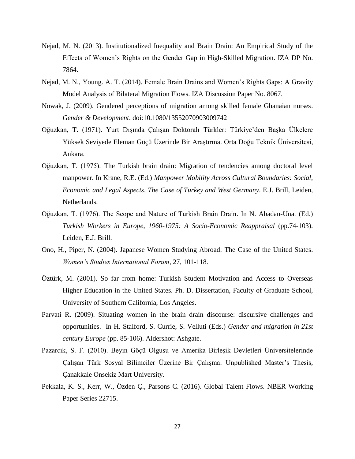- Nejad, M. N. (2013). Institutionalized Inequality and Brain Drain: An Empirical Study of the Effects of Women's Rights on the Gender Gap in High-Skilled Migration. IZA DP No. 7864.
- Nejad, M. N., Young. A. T. (2014). Female Brain Drains and Women's Rights Gaps: A Gravity Model Analysis of Bilateral Migration Flows. IZA Discussion Paper No. 8067.
- Nowak, J. (2009). Gendered perceptions of migration among skilled female Ghanaian nurses. *Gender & Development*. doi:10.1080/13552070903009742
- Oğuzkan, T. (1971). Yurt Dışında Çalışan Doktoralı Türkler: Türkiye'den Başka Ülkelere Yüksek Seviyede Eleman Göçü Üzerinde Bir Araştırma. Orta Doğu Teknik Üniversitesi, Ankara.
- Oğuzkan, T. (1975). The Turkish brain drain: Migration of tendencies among doctoral level manpower. In Krane, R.E. (Ed.) *Manpower Mobility Across Cultural Boundaries: Social, Economic and Legal Aspects, The Case of Turkey and West Germany*. E.J. Brill, Leiden, Netherlands.
- Oğuzkan, T. (1976). The Scope and Nature of Turkish Brain Drain. In N. Abadan-Unat (Ed.) *Turkish Workers in Europe, 1960-1975: A Socio-Economic Reappraisal* (pp.74-103). Leiden, E.J. Brill.
- Ono, H., Piper, N. (2004). Japanese Women Studying Abroad: The Case of the United States. *Women's Studies International Forum,* 27, 101-118.
- Öztürk, M. (2001). So far from home: Turkish Student Motivation and Access to Overseas Higher Education in the United States. Ph. D. Dissertation, Faculty of Graduate School, University of Southern California, Los Angeles.
- Parvati R. (2009). Situating women in the brain drain discourse: discursive challenges and opportunities. In H. Stalford, S. Currie, S. Velluti (Eds.) *Gender and migration in 21st century Europe* (pp. 85-106). Aldershot: Ashgate.
- Pazarcık, S. F. (2010). Beyin Göçü Olgusu ve Amerika Birleşik Devletleri Üniversitelerinde Çalışan Türk Sosyal Bilimciler Üzerine Bir Çalışma. Unpublished Master's Thesis, Çanakkale Onsekiz Mart University.
- Pekkala, K. S., Kerr, W., Özden Ç., Parsons C. (2016). Global Talent Flows. NBER Working Paper Series 22715.